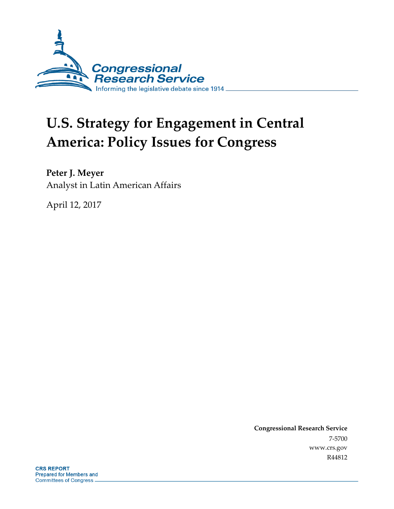

# **U.S. Strategy for Engagement in Central America: Policy Issues for Congress**

**Peter J. Meyer**

Analyst in Latin American Affairs

April 12, 2017

**Congressional Research Service** 7-5700 www.crs.gov R44812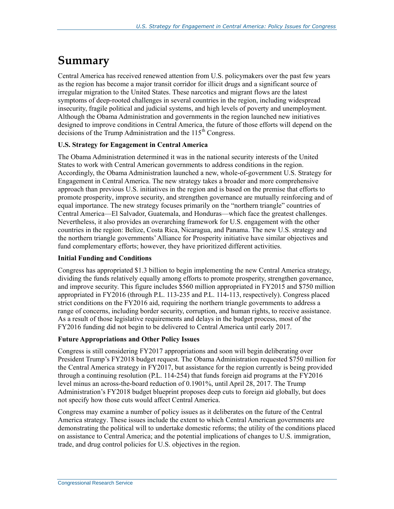## **Summary**

Central America has received renewed attention from U.S. policymakers over the past few years as the region has become a major transit corridor for illicit drugs and a significant source of irregular migration to the United States. These narcotics and migrant flows are the latest symptoms of deep-rooted challenges in several countries in the region, including widespread insecurity, fragile political and judicial systems, and high levels of poverty and unemployment. Although the Obama Administration and governments in the region launched new initiatives designed to improve conditions in Central America, the future of those efforts will depend on the decisions of the Trump Administration and the  $115<sup>th</sup>$  Congress.

#### **U.S. Strategy for Engagement in Central America**

The Obama Administration determined it was in the national security interests of the United States to work with Central American governments to address conditions in the region. Accordingly, the Obama Administration launched a new, whole-of-government U.S. Strategy for Engagement in Central America. The new strategy takes a broader and more comprehensive approach than previous U.S. initiatives in the region and is based on the premise that efforts to promote prosperity, improve security, and strengthen governance are mutually reinforcing and of equal importance. The new strategy focuses primarily on the "northern triangle" countries of Central America—El Salvador, Guatemala, and Honduras—which face the greatest challenges. Nevertheless, it also provides an overarching framework for U.S. engagement with the other countries in the region: Belize, Costa Rica, Nicaragua, and Panama. The new U.S. strategy and the northern triangle governments' Alliance for Prosperity initiative have similar objectives and fund complementary efforts; however, they have prioritized different activities.

#### **Initial Funding and Conditions**

Congress has appropriated \$1.3 billion to begin implementing the new Central America strategy, dividing the funds relatively equally among efforts to promote prosperity, strengthen governance, and improve security. This figure includes \$560 million appropriated in FY2015 and \$750 million appropriated in FY2016 (through P.L. 113-235 and P.L. 114-113, respectively). Congress placed strict conditions on the FY2016 aid, requiring the northern triangle governments to address a range of concerns, including border security, corruption, and human rights, to receive assistance. As a result of those legislative requirements and delays in the budget process, most of the FY2016 funding did not begin to be delivered to Central America until early 2017.

#### **Future Appropriations and Other Policy Issues**

Congress is still considering FY2017 appropriations and soon will begin deliberating over President Trump's FY2018 budget request. The Obama Administration requested \$750 million for the Central America strategy in FY2017, but assistance for the region currently is being provided through a continuing resolution (P.L. 114-254) that funds foreign aid programs at the FY2016 level minus an across-the-board reduction of 0.1901%, until April 28, 2017. The Trump Administration's FY2018 budget blueprint proposes deep cuts to foreign aid globally, but does not specify how those cuts would affect Central America.

Congress may examine a number of policy issues as it deliberates on the future of the Central America strategy. These issues include the extent to which Central American governments are demonstrating the political will to undertake domestic reforms; the utility of the conditions placed on assistance to Central America; and the potential implications of changes to U.S. immigration, trade, and drug control policies for U.S. objectives in the region.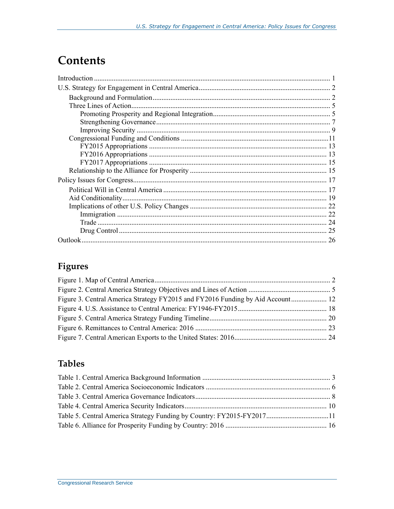## **Contents**

## Figures

| Figure 3. Central America Strategy FY2015 and FY2016 Funding by Aid Account 12 |  |
|--------------------------------------------------------------------------------|--|
|                                                                                |  |
|                                                                                |  |
|                                                                                |  |
|                                                                                |  |

## **Tables**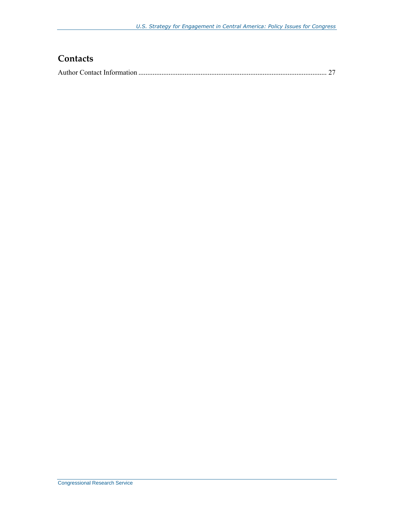## **Contacts**

|--|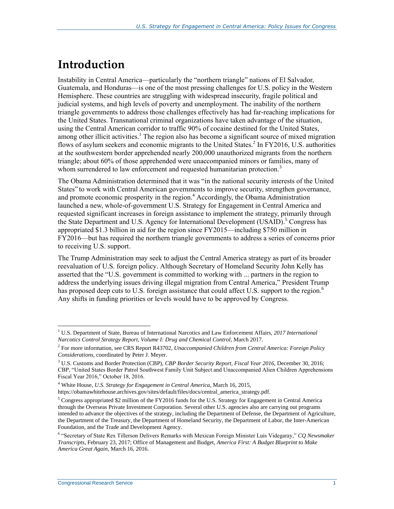## **Introduction**

Instability in Central America—particularly the "northern triangle" nations of El Salvador, Guatemala, and Honduras—is one of the most pressing challenges for U.S. policy in the Western Hemisphere. These countries are struggling with widespread insecurity, fragile political and judicial systems, and high levels of poverty and unemployment. The inability of the northern triangle governments to address those challenges effectively has had far-reaching implications for the United States. Transnational criminal organizations have taken advantage of the situation, using the Central American corridor to traffic 90% of cocaine destined for the United States, among other illicit activities.<sup>1</sup> The region also has become a significant source of mixed migration flows of asylum seekers and economic migrants to the United States. 2 In FY2016, U.S. authorities at the southwestern border apprehended nearly 200,000 unauthorized migrants from the northern triangle; about 60% of those apprehended were unaccompanied minors or families, many of whom surrendered to law enforcement and requested humanitarian protection.<sup>3</sup>

The Obama Administration determined that it was "in the national security interests of the United States" to work with Central American governments to improve security, strengthen governance, and promote economic prosperity in the region.<sup>4</sup> Accordingly, the Obama Administration launched a new, whole-of-government U.S. Strategy for Engagement in Central America and requested significant increases in foreign assistance to implement the strategy, primarily through the State Department and U.S. Agency for International Development (USAID). <sup>5</sup> Congress has appropriated \$1.3 billion in aid for the region since FY2015—including \$750 million in FY2016—but has required the northern triangle governments to address a series of concerns prior to receiving U.S. support.

The Trump Administration may seek to adjust the Central America strategy as part of its broader reevaluation of U.S. foreign policy. Although Secretary of Homeland Security John Kelly has asserted that the "U.S. government is committed to working with ... partners in the region to address the underlying issues driving illegal migration from Central America," President Trump has proposed deep cuts to U.S. foreign assistance that could affect U.S. support to the region.<sup>6</sup> Any shifts in funding priorities or levels would have to be approved by Congress.

<sup>1</sup> U.S. Department of State, Bureau of International Narcotics and Law Enforcement Affairs, *2017 International Narcotics Control Strategy Report, Volume I: Drug and Chemical Control*, March 2017.

<sup>2</sup> For more information, see CRS Report R43702, *Unaccompanied Children from Central America: Foreign Policy Considerations*, coordinated by Peter J. Meyer.

<sup>3</sup> U.S. Customs and Border Protection (CBP), *CBP Border Security Report, Fiscal Year 2016*, December 30, 2016; CBP, "United States Border Patrol Southwest Family Unit Subject and Unaccompanied Alien Children Apprehensions Fiscal Year 2016," October 18, 2016.

<sup>4</sup> White House, *U.S. Strategy for Engagement in Central America*, March 16, 2015,

https://obamawhitehouse.archives.gov/sites/default/files/docs/central\_america\_strategy.pdf.

<sup>&</sup>lt;sup>5</sup> Congress appropriated \$2 million of the FY2016 funds for the U.S. Strategy for Engagement in Central America through the Overseas Private Investment Corporation. Several other U.S. agencies also are carrying out programs intended to advance the objectives of the strategy, including the Department of Defense, the Department of Agriculture, the Department of the Treasury, the Department of Homeland Security, the Department of Labor, the Inter-American Foundation, and the Trade and Development Agency.

<sup>6</sup> "Secretary of State Rex Tillerson Delivers Remarks with Mexican Foreign Minister Luis Videgaray," *CQ Newsmaker Transcripts*, February 23, 2017; Office of Management and Budget, *America First: A Budget Blueprint to Make America Great Again*, March 16, 2016.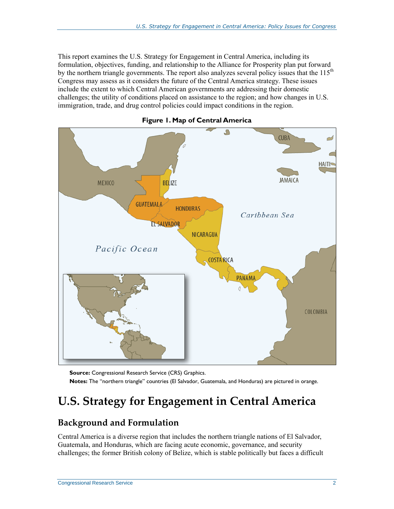This report examines the U.S. Strategy for Engagement in Central America, including its formulation, objectives, funding, and relationship to the Alliance for Prosperity plan put forward by the northern triangle governments. The report also analyzes several policy issues that the  $115<sup>th</sup>$ Congress may assess as it considers the future of the Central America strategy. These issues include the extent to which Central American governments are addressing their domestic challenges; the utility of conditions placed on assistance to the region; and how changes in U.S. immigration, trade, and drug control policies could impact conditions in the region.

<span id="page-5-0"></span>

**Figure 1. Map of Central America**

**Source:** Congressional Research Service (CRS) Graphics. **Notes:** The "northern triangle" countries (El Salvador, Guatemala, and Honduras) are pictured in orange.

## **U.S. Strategy for Engagement in Central America**

## **Background and Formulation**

Central America is a diverse region that includes the northern triangle nations of El Salvador, Guatemala, and Honduras, which are facing acute economic, governance, and security challenges; the former British colony of Belize, which is stable politically but faces a difficult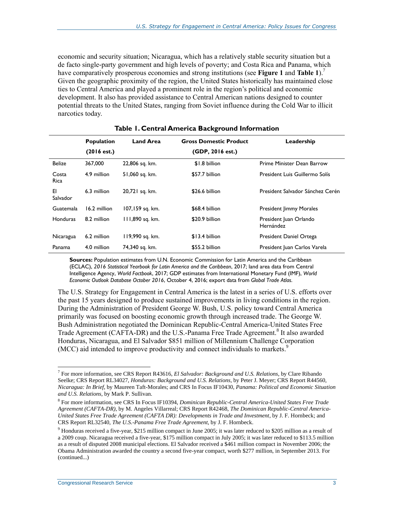economic and security situation; Nicaragua, which has a relatively stable security situation but a de facto single-party government and high levels of poverty; and Costa Rica and Panama, which have comparatively prosperous economies and strong institutions (see **[Figure 1](#page-5-0)** and **[Table 1](#page-6-0)**).<sup>7</sup> Given the geographic proximity of the region, the United States historically has maintained close ties to Central America and played a prominent role in the region's political and economic development. It also has provided assistance to Central American nations designed to counter potential threats to the United States, ranging from Soviet influence during the Cold War to illicit narcotics today.

<span id="page-6-0"></span>

|                  | <b>Population</b> | <b>Land Area</b> | <b>Gross Domestic Product</b> | Leadership                          |
|------------------|-------------------|------------------|-------------------------------|-------------------------------------|
|                  | (2016 est.)       |                  | (GDP, 2016 est.)              |                                     |
| <b>Belize</b>    | 367,000           | 22,806 sq. km.   | \$1.8 billion                 | Prime Minister Dean Barrow          |
| Costa<br>Rica    | 4.9 million       | 51,060 sq. km.   | \$57.7 billion                | President Luis Guillermo Solís      |
| EI<br>Salvador   | 6.3 million       | 20,721 sq. km.   | \$26.6 billion                | President Salvador Sánchez Cerén    |
| <b>Guatemala</b> | 16.2 million      | 107,159 sq. km.  | \$68.4 billion                | <b>President Jimmy Morales</b>      |
| <b>Honduras</b>  | 8.2 million       | 111,890 sq. km.  | \$20.9 billion                | President Juan Orlando<br>Hernández |
| Nicaragua        | 6.2 million       | 119,990 sq. km.  | \$13.4 billion                | President Daniel Ortega             |
| Panama           | 4.0 million       | 74,340 sq. km.   | \$55.2 billion                | President Juan Carlos Varela        |

#### **Table 1. Central America Background Information**

**Sources:** Population estimates from U.N. Economic Commission for Latin America and the Caribbean (ECLAC), *2016 Statistical Yearbook for Latin America and the Caribbean*, 2017; land area data from Central Intelligence Agency, *World Factbook*, 2017; GDP estimates from International Monetary Fund (IMF), *World Economic Outlook Database October 2016*, October 4, 2016; export data from *Global Trade Atlas*.

The U.S. Strategy for Engagement in Central America is the latest in a series of U.S. efforts over the past 15 years designed to produce sustained improvements in living conditions in the region. During the Administration of President George W. Bush, U.S. policy toward Central America primarily was focused on boosting economic growth through increased trade. The George W. Bush Administration negotiated the Dominican Republic-Central America-United States Free Trade Agreement (CAFTA-DR) and the U.S.-Panama Free Trade Agreement.<sup>8</sup> It also awarded Honduras, Nicaragua, and El Salvador \$851 million of Millennium Challenge Corporation (MCC) aid intended to improve productivity and connect individuals to markets.<sup>9</sup>

<sup>7</sup> For more information, see CRS Report R43616, *El Salvador: Background and U.S. Relations*, by Clare Ribando Seelke; CRS Report RL34027, *Honduras: Background and U.S. Relations*, by Peter J. Meyer; CRS Report R44560, *Nicaragua: In Brief*, by Maureen Taft-Morales; and CRS In Focus IF10430, *Panama: Political and Economic Situation and U.S. Relations*, by Mark P. Sullivan.

<sup>8</sup> For more information, see CRS In Focus IF10394, *Dominican Republic-Central America-United States Free Trade Agreement (CAFTA-DR)*, by M. Angeles Villarreal; CRS Report R42468, *The Dominican Republic-Central America-United States Free Trade Agreement (CAFTA DR): Developments in Trade and Investment*, by J. F. Hornbeck; and CRS Report RL32540, *The U.S.-Panama Free Trade Agreement*, by J. F. Hornbeck.

<sup>9</sup> Honduras received a five-year, \$215 million compact in June 2005; it was later reduced to \$205 million as a result of a 2009 coup. Nicaragua received a five-year, \$175 million compact in July 2005; it was later reduced to \$113.5 million as a result of disputed 2008 municipal elections. El Salvador received a \$461 million compact in November 2006; the Obama Administration awarded the country a second five-year compact, worth \$277 million, in September 2013. For (continued...)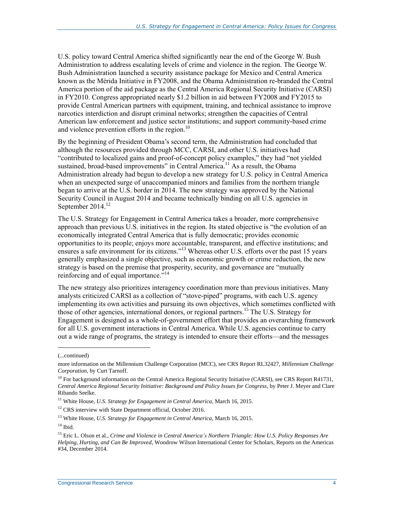U.S. policy toward Central America shifted significantly near the end of the George W. Bush Administration to address escalating levels of crime and violence in the region. The George W. Bush Administration launched a security assistance package for Mexico and Central America known as the Mérida Initiative in FY2008, and the Obama Administration re-branded the Central America portion of the aid package as the Central America Regional Security Initiative (CARSI) in FY2010. Congress appropriated nearly \$1.2 billion in aid between FY2008 and FY2015 to provide Central American partners with equipment, training, and technical assistance to improve narcotics interdiction and disrupt criminal networks; strengthen the capacities of Central American law enforcement and justice sector institutions; and support community-based crime and violence prevention efforts in the region. $^{10}$ 

By the beginning of President Obama's second term, the Administration had concluded that although the resources provided through MCC, CARSI, and other U.S. initiatives had "contributed to localized gains and proof-of-concept policy examples," they had "not yielded sustained, broad-based improvements" in Central America.<sup>11</sup> As a result, the Obama Administration already had begun to develop a new strategy for U.S. policy in Central America when an unexpected surge of unaccompanied minors and families from the northern triangle began to arrive at the U.S. border in 2014. The new strategy was approved by the National Security Council in August 2014 and became technically binding on all U.S. agencies in September 2014.<sup>12</sup>

The U.S. Strategy for Engagement in Central America takes a broader, more comprehensive approach than previous U.S. initiatives in the region. Its stated objective is "the evolution of an economically integrated Central America that is fully democratic; provides economic opportunities to its people; enjoys more accountable, transparent, and effective institutions; and ensures a safe environment for its citizens."<sup>13</sup> Whereas other U.S. efforts over the past 15 years generally emphasized a single objective, such as economic growth or crime reduction, the new strategy is based on the premise that prosperity, security, and governance are "mutually reinforcing and of equal importance."<sup>14</sup>

The new strategy also prioritizes interagency coordination more than previous initiatives. Many analysts criticized CARSI as a collection of "stove-piped" programs, with each U.S. agency implementing its own activities and pursuing its own objectives, which sometimes conflicted with those of other agencies, international donors, or regional partners. <sup>15</sup> The U.S. Strategy for Engagement is designed as a whole-of-government effort that provides an overarching framework for all U.S. government interactions in Central America. While U.S. agencies continue to carry out a wide range of programs, the strategy is intended to ensure their efforts—and the messages

<sup>(...</sup>continued)

more information on the Millennium Challenge Corporation (MCC), see CRS Report RL32427, *Millennium Challenge Corporation*, by Curt Tarnoff.

 $10$  For background information on the Central America Regional Security Initiative (CARSI), see CRS Report R41731, *Central America Regional Security Initiative: Background and Policy Issues for Congress*, by Peter J. Meyer and Clare Ribando Seelke.

<sup>&</sup>lt;sup>11</sup> White House, *U.S. Strategy for Engagement in Central America*, March 16, 2015.

 $12$  CRS interview with State Department official, October 2016.

<sup>13</sup> White House, *U.S. Strategy for Engagement in Central America*, March 16, 2015.

 $^{\rm 14}$  Ibid.

<sup>15</sup> Eric L. Olson et al., *Crime and Violence in Central America's Northern Triangle: How U.S. Policy Responses Are Helping, Hurting, and Can Be Improved*, Woodrow Wilson International Center for Scholars, Reports on the Americas #34, December 2014.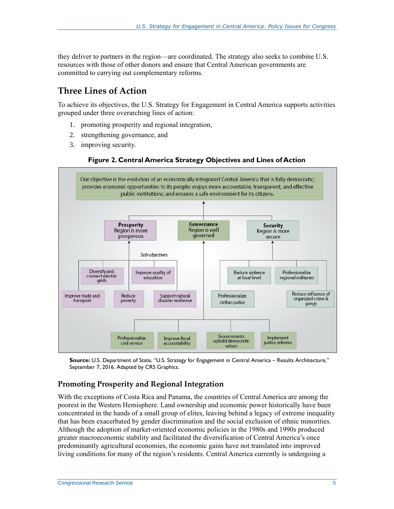they deliver to partners in the region—are coordinated. The strategy also seeks to combine U.S. resources with those of other donors and ensure that Central American governments are committed to carrying out complementary reforms.

### **Three Lines of Action**

To achieve its objectives, the U.S. Strategy for Engagement in Central America supports activities grouped under three overarching lines of action:

- 1. promoting prosperity and regional integration,
- 2. strengthening governance, and
- 3. improving security.

#### **Figure 2. Central America Strategy Objectives and Lines of Action**



**Source:** U.S. Department of State, "U.S. Strategy for Engagement in Central America – Results Architecture," September 7, 2016. Adapted by CRS Graphics.

#### **Promoting Prosperity and Regional Integration**

With the exceptions of Costa Rica and Panama, the countries of Central America are among the poorest in the Western Hemisphere. Land ownership and economic power historically have been concentrated in the hands of a small group of elites, leaving behind a legacy of extreme inequality that has been exacerbated by gender discrimination and the social exclusion of ethnic minorities. Although the adoption of market-oriented economic policies in the 1980s and 1990s produced greater macroeconomic stability and facilitated the diversification of Central America's once predominantly agricultural economies, the economic gains have not translated into improved living conditions for many of the region's residents. Central America currently is undergoing a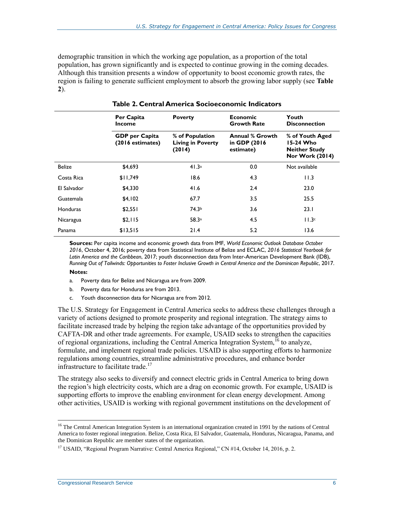demographic transition in which the working age population, as a proportion of the total population, has grown significantly and is expected to continue growing in the coming decades. Although this transition presents a window of opportunity to boost economic growth rates, the region is failing to generate sufficient employment to absorb the growing labor supply (see **[Table](#page-9-0)  [2](#page-9-0)**).

<span id="page-9-0"></span>

|               | Per Capita<br><b>Income</b>               | <b>Poverty</b>                                        | <b>Economic</b><br><b>Growth Rate</b>                | Youth<br><b>Disconnection</b>                                                  |  |
|---------------|-------------------------------------------|-------------------------------------------------------|------------------------------------------------------|--------------------------------------------------------------------------------|--|
|               | <b>GDP</b> per Capita<br>(2016 estimates) | % of Population<br><b>Living in Poverty</b><br>(2014) | <b>Annual % Growth</b><br>in GDP (2016)<br>estimate) | % of Youth Aged<br>15-24 Who<br><b>Neither Study</b><br><b>Nor Work (2014)</b> |  |
| <b>Belize</b> | \$4,693                                   | 41.3a                                                 | 0.0                                                  | Not available                                                                  |  |
| Costa Rica    | \$11,749                                  | 18.6                                                  | 4.3                                                  | 11.3                                                                           |  |
| El Salvador   | \$4,330                                   | 41.6                                                  | 2.4                                                  | 23.0                                                                           |  |
| Guatemala     | \$4,102                                   | 67.7                                                  | 3.5                                                  | 25.5                                                                           |  |
| Honduras      | \$2,551                                   | 74.3 <sup>b</sup>                                     | 3.6                                                  | 23.1                                                                           |  |
| Nicaragua     | \$2,115                                   | 58.3a                                                 | 4.5                                                  | 11.3c                                                                          |  |
| Panama        | \$13,515                                  | 21.4                                                  | 5.2                                                  | 13.6                                                                           |  |

**Table 2. Central America Socioeconomic Indicators**

**Sources:** Per capita income and economic growth data from IMF, *World Economic Outlook Database October 2016*, October 4, 2016; poverty data from Statistical Institute of Belize and ECLAC, *2016 Statistical Yearbook for Latin America and the Caribbean*, 2017; youth disconnection data from Inter-American Development Bank (IDB), *Running Out of Tailwinds: Opportunities to Foster Inclusive Growth in Central America and the Dominican Republic*, 2017.

#### **Notes:**

- <span id="page-9-1"></span>a. Poverty data for Belize and Nicaragua are from 2009.
- <span id="page-9-2"></span>b. Poverty data for Honduras are from 2013.
- c. Youth disconnection data for Nicaragua are from 2012.

<span id="page-9-3"></span>The U.S. Strategy for Engagement in Central America seeks to address these challenges through a variety of actions designed to promote prosperity and regional integration. The strategy aims to facilitate increased trade by helping the region take advantage of the opportunities provided by CAFTA-DR and other trade agreements. For example, USAID seeks to strengthen the capacities of regional organizations, including the Central America Integration System,<sup>16</sup> to analyze, formulate, and implement regional trade policies. USAID is also supporting efforts to harmonize regulations among countries, streamline administrative procedures, and enhance border infrastructure to facilitate trade.<sup>17</sup>

The strategy also seeks to diversify and connect electric grids in Central America to bring down the region's high electricity costs, which are a drag on economic growth. For example, USAID is supporting efforts to improve the enabling environment for clean energy development. Among other activities, USAID is working with regional government institutions on the development of

<sup>&</sup>lt;sup>16</sup> The Central American Integration System is an international organization created in 1991 by the nations of Central America to foster regional integration. Belize, Costa Rica, El Salvador, Guatemala, Honduras, Nicaragua, Panama, and the Dominican Republic are member states of the organization.

<sup>&</sup>lt;sup>17</sup> USAID, "Regional Program Narrative: Central America Regional," CN #14, October 14, 2016, p. 2.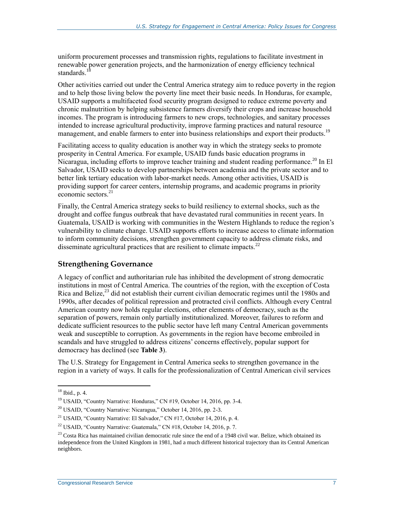uniform procurement processes and transmission rights, regulations to facilitate investment in renewable power generation projects, and the harmonization of energy efficiency technical standards.<sup>18</sup>

Other activities carried out under the Central America strategy aim to reduce poverty in the region and to help those living below the poverty line meet their basic needs. In Honduras, for example, USAID supports a multifaceted food security program designed to reduce extreme poverty and chronic malnutrition by helping subsistence farmers diversify their crops and increase household incomes. The program is introducing farmers to new crops, technologies, and sanitary processes intended to increase agricultural productivity, improve farming practices and natural resource management, and enable farmers to enter into business relationships and export their products.<sup>19</sup>

Facilitating access to quality education is another way in which the strategy seeks to promote prosperity in Central America. For example, USAID funds basic education programs in Nicaragua, including efforts to improve teacher training and student reading performance.<sup>20</sup> In El Salvador, USAID seeks to develop partnerships between academia and the private sector and to better link tertiary education with labor-market needs. Among other activities, USAID is providing support for career centers, internship programs, and academic programs in priority economic sectors $^{21}$ 

Finally, the Central America strategy seeks to build resiliency to external shocks, such as the drought and coffee fungus outbreak that have devastated rural communities in recent years. In Guatemala, USAID is working with communities in the Western Highlands to reduce the region's vulnerability to climate change. USAID supports efforts to increase access to climate information to inform community decisions, strengthen government capacity to address climate risks, and disseminate agricultural practices that are resilient to climate impacts.<sup>22</sup>

#### **Strengthening Governance**

A legacy of conflict and authoritarian rule has inhibited the development of strong democratic institutions in most of Central America. The countries of the region, with the exception of Costa Rica and Belize,<sup>23</sup> did not establish their current civilian democratic regimes until the 1980s and 1990s, after decades of political repression and protracted civil conflicts. Although every Central American country now holds regular elections, other elements of democracy, such as the separation of powers, remain only partially institutionalized. Moreover, failures to reform and dedicate sufficient resources to the public sector have left many Central American governments weak and susceptible to corruption. As governments in the region have become embroiled in scandals and have struggled to address citizens' concerns effectively, popular support for democracy has declined (see **[Table 3](#page-11-0)**).

The U.S. Strategy for Engagement in Central America seeks to strengthen governance in the region in a variety of ways. It calls for the professionalization of Central American civil services

 $18$  Ibid., p. 4.

<sup>&</sup>lt;sup>19</sup> USAID, "Country Narrative: Honduras," CN #19, October 14, 2016, pp. 3-4.

 $^{20}$  USAID, "Country Narrative: Nicaragua," October 14, 2016, pp. 2-3.

<sup>&</sup>lt;sup>21</sup> USAID, "Country Narrative: El Salvador," CN  $#17$ , October 14, 2016, p. 4.

<sup>&</sup>lt;sup>22</sup> USAID, "Country Narrative: Guatemala," CN #18, October 14, 2016, p. 7.

 $23$  Costa Rica has maintained civilian democratic rule since the end of a 1948 civil war. Belize, which obtained its independence from the United Kingdom in 1981, had a much different historical trajectory than its Central American neighbors.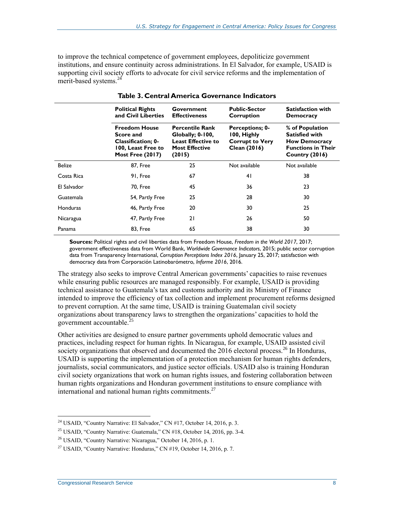to improve the technical competence of government employees, depoliticize government institutions, and ensure continuity across administrations. In El Salvador, for example, USAID is supporting civil society efforts to advocate for civil service reforms and the implementation of merit-based systems.<sup>24</sup>

<span id="page-11-0"></span>

|               | <b>Political Rights</b><br>and Civil Liberties                                                                  | Government<br><b>Effectiveness</b>                                                                                 | <b>Public-Sector</b><br>Corruption                                              | <b>Satisfaction with</b><br><b>Democracy</b>                                                                    |
|---------------|-----------------------------------------------------------------------------------------------------------------|--------------------------------------------------------------------------------------------------------------------|---------------------------------------------------------------------------------|-----------------------------------------------------------------------------------------------------------------|
|               | <b>Freedom House</b><br>Score and<br><b>Classification: 0-</b><br>100, Least Free to<br><b>Most Free (2017)</b> | <b>Percentile Rank</b><br><b>Globally</b> ; 0-100,<br><b>Least Effective to</b><br><b>Most Effective</b><br>(2015) | <b>Perceptions; 0-</b><br>100, Highly<br><b>Corrupt to Very</b><br>Clean (2016) | % of Population<br><b>Satisfied with</b><br><b>How Democracy</b><br><b>Functions in Their</b><br>Country (2016) |
| <b>Belize</b> | <b>87, Free</b>                                                                                                 | 25                                                                                                                 | Not available                                                                   | Not available                                                                                                   |
| Costa Rica    | 91, Free                                                                                                        | 67                                                                                                                 | 41                                                                              | 38                                                                                                              |
| El Salvador   | <b>70. Free</b>                                                                                                 | 45                                                                                                                 | 36                                                                              | 23                                                                                                              |
| Guatemala     | 54, Partly Free                                                                                                 | 25                                                                                                                 | 28                                                                              | 30                                                                                                              |
| Honduras      | 46, Partly Free                                                                                                 | 20                                                                                                                 | 30                                                                              | 25                                                                                                              |
| Nicaragua     | 47, Partly Free                                                                                                 | 21                                                                                                                 | 26                                                                              | 50                                                                                                              |
| Panama        | <b>83, Free</b>                                                                                                 | 65                                                                                                                 | 38                                                                              | 30                                                                                                              |

**Sources:** Political rights and civil liberties data from Freedom House, *Freedom in the World 2017*, 2017; government effectiveness data from World Bank, *Worldwide Governance Indicators*, 2015; public sector corruption data from Transparency International, *Corruption Perceptions Index 2016*, January 25, 2017; satisfaction with democracy data from Corporación Latinobarómetro, *Informe 2016*, 2016.

The strategy also seeks to improve Central American governments' capacities to raise revenues while ensuring public resources are managed responsibly. For example, USAID is providing technical assistance to Guatemala's tax and customs authority and its Ministry of Finance intended to improve the efficiency of tax collection and implement procurement reforms designed to prevent corruption. At the same time, USAID is training Guatemalan civil society organizations about transparency laws to strengthen the organizations' capacities to hold the government accountable.<sup>25</sup>

Other activities are designed to ensure partner governments uphold democratic values and practices, including respect for human rights. In Nicaragua, for example, USAID assisted civil society organizations that observed and documented the 2016 electoral process.<sup>26</sup> In Honduras, USAID is supporting the implementation of a protection mechanism for human rights defenders, journalists, social communicators, and justice sector officials. USAID also is training Honduran civil society organizations that work on human rights issues, and fostering collaboration between human rights organizations and Honduran government institutions to ensure compliance with international and national human rights commitments.<sup>27</sup>

 $\overline{a}$ <sup>24</sup> USAID, "Country Narrative: El Salvador," CN #17, October 14, 2016, p. 3.

<sup>25</sup> USAID, "Country Narrative: Guatemala," CN #18, October 14, 2016, pp. 3-4.

<sup>&</sup>lt;sup>26</sup> USAID, "Country Narrative: Nicaragua," October 14, 2016, p. 1.

<sup>&</sup>lt;sup>27</sup> USAID, "Country Narrative: Honduras," CN  $#19$ , October 14, 2016, p. 7.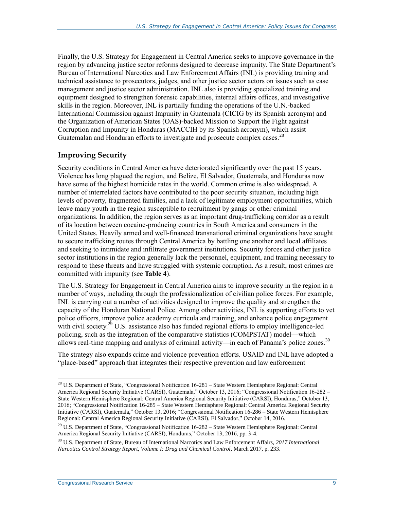Finally, the U.S. Strategy for Engagement in Central America seeks to improve governance in the region by advancing justice sector reforms designed to decrease impunity. The State Department's Bureau of International Narcotics and Law Enforcement Affairs (INL) is providing training and technical assistance to prosecutors, judges, and other justice sector actors on issues such as case management and justice sector administration. INL also is providing specialized training and equipment designed to strengthen forensic capabilities, internal affairs offices, and investigative skills in the region. Moreover, INL is partially funding the operations of the U.N.-backed International Commission against Impunity in Guatemala (CICIG by its Spanish acronym) and the Organization of American States (OAS)-backed Mission to Support the Fight against Corruption and Impunity in Honduras (MACCIH by its Spanish acronym), which assist Guatemalan and Honduran efforts to investigate and prosecute complex cases.<sup>28</sup>

#### **Improving Security**

Security conditions in Central America have deteriorated significantly over the past 15 years. Violence has long plagued the region, and Belize, El Salvador, Guatemala, and Honduras now have some of the highest homicide rates in the world. Common crime is also widespread. A number of interrelated factors have contributed to the poor security situation, including high levels of poverty, fragmented families, and a lack of legitimate employment opportunities, which leave many youth in the region susceptible to recruitment by gangs or other criminal organizations. In addition, the region serves as an important drug-trafficking corridor as a result of its location between cocaine-producing countries in South America and consumers in the United States. Heavily armed and well-financed transnational criminal organizations have sought to secure trafficking routes through Central America by battling one another and local affiliates and seeking to intimidate and infiltrate government institutions. Security forces and other justice sector institutions in the region generally lack the personnel, equipment, and training necessary to respond to these threats and have struggled with systemic corruption. As a result, most crimes are committed with impunity (see **[Table 4](#page-13-0)**).

The U.S. Strategy for Engagement in Central America aims to improve security in the region in a number of ways, including through the professionalization of civilian police forces. For example, INL is carrying out a number of activities designed to improve the quality and strengthen the capacity of the Honduran National Police. Among other activities, INL is supporting efforts to vet police officers, improve police academy curricula and training, and enhance police engagement with civil society.<sup>29</sup> U.S. assistance also has funded regional efforts to employ intelligence-led policing, such as the integration of the comparative statistics (COMPSTAT) model—which allows real-time mapping and analysis of criminal activity—in each of Panama's police zones.<sup>30</sup>

The strategy also expands crime and violence prevention efforts. USAID and INL have adopted a "place-based" approach that integrates their respective prevention and law enforcement

<sup>&</sup>lt;sup>28</sup> U.S. Department of State, "Congressional Notification 16-281 – State Western Hemisphere Regional: Central America Regional Security Initiative (CARSI), Guatemala," October 13, 2016; "Congressional Notification 16-282 – State Western Hemisphere Regional: Central America Regional Security Initiative (CARSI), Honduras," October 13, 2016; "Congressional Notification 16-285 – State Western Hemisphere Regional: Central America Regional Security Initiative (CARSI), Guatemala," October 13, 2016; "Congressional Notification 16-286 – State Western Hemisphere Regional: Central America Regional Security Initiative (CARSI), El Salvador," October 14, 2016.

<sup>&</sup>lt;sup>29</sup> U.S. Department of State, "Congressional Notification  $16-282 -$  State Western Hemisphere Regional: Central America Regional Security Initiative (CARSI), Honduras," October 13, 2016, pp. 3-4.

<sup>30</sup> U.S. Department of State, Bureau of International Narcotics and Law Enforcement Affairs, *2017 International Narcotics Control Strategy Report, Volume I: Drug and Chemical Control*, March 2017, p. 233.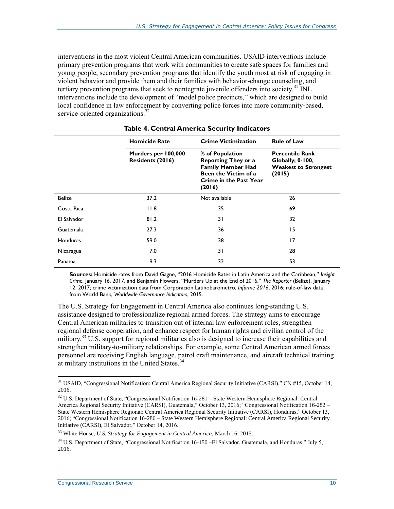interventions in the most violent Central American communities. USAID interventions include primary prevention programs that work with communities to create safe spaces for families and young people, secondary prevention programs that identify the youth most at risk of engaging in violent behavior and provide them and their families with behavior-change counseling, and tertiary prevention programs that seek to reintegrate juvenile offenders into society.<sup>31</sup> INL interventions include the development of "model police precincts," which are designed to build local confidence in law enforcement by converting police forces into more community-based, service-oriented organizations.<sup>32</sup>

<span id="page-13-0"></span>

|               | <b>Homicide Rate</b>                    | <b>Crime Victimization</b>                                                                                                                   | <b>Rule of Law</b>                                                                  |  |
|---------------|-----------------------------------------|----------------------------------------------------------------------------------------------------------------------------------------------|-------------------------------------------------------------------------------------|--|
|               | Murders per 100,000<br>Residents (2016) | % of Population<br><b>Reporting They or a</b><br><b>Family Member Had</b><br>Been the Victim of a<br><b>Crime in the Past Year</b><br>(2016) | <b>Percentile Rank</b><br>Globally; 0-100,<br><b>Weakest to Strongest</b><br>(2015) |  |
| <b>Belize</b> | 37.2                                    | Not available                                                                                                                                | 26                                                                                  |  |
| Costa Rica    | 11.8                                    | 35                                                                                                                                           | 69                                                                                  |  |
| El Salvador   | 81.2                                    | 31                                                                                                                                           | 32                                                                                  |  |
| Guatemala     | 27.3                                    | 36                                                                                                                                           | 15                                                                                  |  |
| Honduras      | 59.0                                    | 38                                                                                                                                           | 17                                                                                  |  |
| Nicaragua     | 7.0                                     | 31                                                                                                                                           | 28                                                                                  |  |
| Panama        | 9.3                                     | 32                                                                                                                                           | 53                                                                                  |  |

#### **Table 4. Central America Security Indicators**

**Sources:** Homicide rates from David Gagne, "2016 Homicide Rates in Latin America and the Caribbean," *Insight Crime*, January 16, 2017, and Benjamin Flowers, "Murders Up at the End of 2016," *The Reporter* (Belize), January 12, 2017; crime victimization data from Corporación Latinobarómetro, *Informe 2016*, 2016; rule-of-law data from World Bank, *Worldwide Governance Indicators*, 2015.

The U.S. Strategy for Engagement in Central America also continues long-standing U.S. assistance designed to professionalize regional armed forces. The strategy aims to encourage Central American militaries to transition out of internal law enforcement roles, strengthen regional defense cooperation, and enhance respect for human rights and civilian control of the military.<sup>33</sup> U.S. support for regional militaries also is designed to increase their capabilities and strengthen military-to-military relationships. For example, some Central American armed forces personnel are receiving English language, patrol craft maintenance, and aircraft technical training at military institutions in the United States.<sup>34</sup>

<sup>&</sup>lt;sup>31</sup> USAID, "Congressional Notification: Central America Regional Security Initiative (CARSI)," CN #15, October 14, 2016.

<sup>32</sup> U.S. Department of State, "Congressional Notification 16-281 – State Western Hemisphere Regional: Central America Regional Security Initiative (CARSI), Guatemala," October 13, 2016; "Congressional Notification 16-282 – State Western Hemisphere Regional: Central America Regional Security Initiative (CARSI), Honduras," October 13, 2016; "Congressional Notification 16-286 – State Western Hemisphere Regional: Central America Regional Security Initiative (CARSI), El Salvador," October 14, 2016.

<sup>33</sup> White House, *U.S. Strategy for Engagement in Central America*, March 16, 2015.

<sup>&</sup>lt;sup>34</sup> U.S. Department of State, "Congressional Notification 16-150 –El Salvador, Guatemala, and Honduras," July 5, 2016.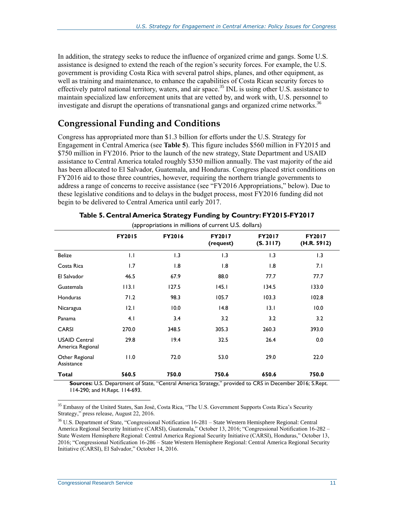In addition, the strategy seeks to reduce the influence of organized crime and gangs. Some U.S. assistance is designed to extend the reach of the region's security forces. For example, the U.S. government is providing Costa Rica with several patrol ships, planes, and other equipment, as well as training and maintenance, to enhance the capabilities of Costa Rican security forces to effectively patrol national territory, waters, and air space.<sup>35</sup> INL is using other U.S. assistance to maintain specialized law enforcement units that are vetted by, and work with, U.S. personnel to investigate and disrupt the operations of transnational gangs and organized crime networks.<sup>36</sup>

### **Congressional Funding and Conditions**

Congress has appropriated more than \$1.3 billion for efforts under the U.S. Strategy for Engagement in Central America (see **[Table 5](#page-14-0)**). This figure includes \$560 million in FY2015 and \$750 million in FY2016. Prior to the launch of the new strategy, State Department and USAID assistance to Central America totaled roughly \$350 million annually. The vast majority of the aid has been allocated to El Salvador, Guatemala, and Honduras. Congress placed strict conditions on FY2016 aid to those three countries, however, requiring the northern triangle governments to address a range of concerns to receive assistance (see ["FY2016 Appropriations,](#page-16-0)" below). Due to these legislative conditions and to delays in the budget process, most FY2016 funding did not begin to be delivered to Central America until early 2017.

<span id="page-14-0"></span>

| $\mu$                                    |               |               |                     |                            |                              |
|------------------------------------------|---------------|---------------|---------------------|----------------------------|------------------------------|
|                                          | <b>FY2015</b> | <b>FY2016</b> | FY2017<br>(request) | <b>FY2017</b><br>(S. 3117) | <b>FY2017</b><br>(H.R. 5912) |
| <b>Belize</b>                            | 1.1           | 1.3           | 1.3                 | 1.3                        | 1.3                          |
| Costa Rica                               | 1.7           | 1.8           | 1.8                 | 1.8                        | 7.1                          |
| El Salvador                              | 46.5          | 67.9          | 88.0                | 77.7                       | 77.7                         |
| Guatemala                                | 113.1         | 127.5         | 145.1               | 134.5                      | 133.0                        |
| <b>Honduras</b>                          | 71.2          | 98.3          | 105.7               | 103.3                      | 102.8                        |
| Nicaragua                                | 12.1          | 10.0          | 14.8                | 13.1                       | 10.0                         |
| Panama                                   | 4.1           | 3.4           | 3.2                 | 3.2                        | 3.2                          |
| <b>CARSI</b>                             | 270.0         | 348.5         | 305.3               | 260.3                      | 393.0                        |
| <b>USAID Central</b><br>America Regional | 29.8          | 19.4          | 32.5                | 26.4                       | 0.0                          |
| Other Regional<br>Assistance             | 11.0          | 72.0          | 53.0                | 29.0                       | 22.0                         |
| Total                                    | 560.5         | 750.0         | 750.6               | 650.6                      | 750.0                        |

#### **Table 5. Central America Strategy Funding by Country: FY2015-FY2017**

(appropriations in millions of current U.S. dollars)

**Sources:** U.S. Department of State, "Central America Strategy," provided to CRS in December 2016; S.Rept. 114-290; and [H.Rept. 114-693.](http://www.congress.gov/cgi-lis/cpquery/R?cp114:FLD010:@1(hr693):)

<sup>35</sup> Embassy of the United States, San José, Costa Rica, "The U.S. Government Supports Costa Rica's Security Strategy," press release, August 22, 2016.

<sup>36</sup> U.S. Department of State, "Congressional Notification 16-281 – State Western Hemisphere Regional: Central America Regional Security Initiative (CARSI), Guatemala," October 13, 2016; "Congressional Notification 16-282 – State Western Hemisphere Regional: Central America Regional Security Initiative (CARSI), Honduras," October 13, 2016; "Congressional Notification 16-286 – State Western Hemisphere Regional: Central America Regional Security Initiative (CARSI), El Salvador," October 14, 2016.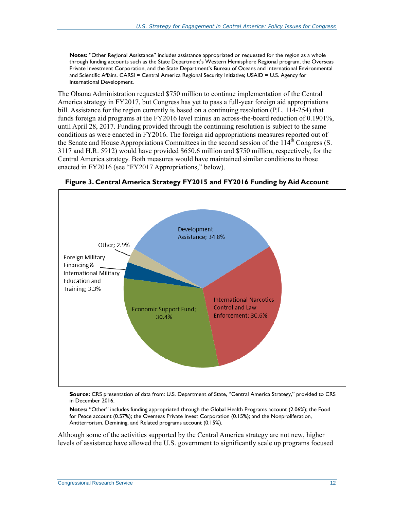**Notes:** "Other Regional Assistance" includes assistance appropriated or requested for the region as a whole through funding accounts such as the State Department's Western Hemisphere Regional program, the Overseas Private Investment Corporation, and the State Department's Bureau of Oceans and International Environmental and Scientific Affairs. CARSI = Central America Regional Security Initiative; USAID = U.S. Agency for International Development.

The Obama Administration requested \$750 million to continue implementation of the Central America strategy in FY2017, but Congress has yet to pass a full-year foreign aid appropriations bill. Assistance for the region currently is based on a continuing resolution (P.L. 114-254) that funds foreign aid programs at the FY2016 level minus an across-the-board reduction of 0.1901%, until April 28, 2017. Funding provided through the continuing resolution is subject to the same conditions as were enacted in FY2016. The foreign aid appropriations measures reported out of the Senate and House Appropriations Committees in the second session of the  $114<sup>th</sup>$  Congress (S. [3117](http://www.congress.gov/cgi-lis/bdquery/z?d114:S.3117:) and H.R. 5912) would have provided \$650.6 million and \$750 million, respectively, for the Central America strategy. Both measures would have maintained similar conditions to those enacted in FY2016 (see ["FY2017 Appropriations,](#page-18-0)" below).



<span id="page-15-0"></span>**Figure 3. Central America Strategy FY2015 and FY2016 Funding by Aid Account**

**Source:** CRS presentation of data from: U.S. Department of State, "Central America Strategy," provided to CRS in December 2016.

**Notes:** "Other" includes funding appropriated through the Global Health Programs account (2.06%); the Food for Peace account (0.57%); the Overseas Private Invest Corporation (0.15%); and the Nonproliferation, Antiterrorism, Demining, and Related programs account (0.15%).

Although some of the activities supported by the Central America strategy are not new, higher levels of assistance have allowed the U.S. government to significantly scale up programs focused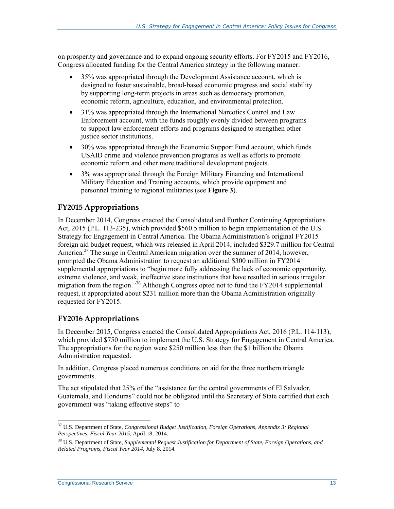on prosperity and governance and to expand ongoing security efforts. For FY2015 and FY2016, Congress allocated funding for the Central America strategy in the following manner:

- 35% was appropriated through the Development Assistance account, which is designed to foster sustainable, broad-based economic progress and social stability by supporting long-term projects in areas such as democracy promotion, economic reform, agriculture, education, and environmental protection.
- 31% was appropriated through the International Narcotics Control and Law Enforcement account, with the funds roughly evenly divided between programs to support law enforcement efforts and programs designed to strengthen other justice sector institutions.
- 30% was appropriated through the Economic Support Fund account, which funds USAID crime and violence prevention programs as well as efforts to promote economic reform and other more traditional development projects.
- 3% was appropriated through the Foreign Military Financing and International Military Education and Training accounts, which provide equipment and personnel training to regional militaries (see **[Figure 3](#page-15-0)**).

#### **FY2015 Appropriations**

In December 2014, Congress enacted the Consolidated and Further Continuing Appropriations Act, 2015 [\(P.L. 113-235\)](http://www.congress.gov/cgi-lis/bdquery/R?d113:FLD002:@1(113+235)), which provided \$560.5 million to begin implementation of the U.S. Strategy for Engagement in Central America. The Obama Administration's original FY2015 foreign aid budget request, which was released in April 2014, included \$329.7 million for Central America. <sup>37</sup> The surge in Central American migration over the summer of 2014, however, prompted the Obama Administration to request an additional \$300 million in FY2014 supplemental appropriations to "begin more fully addressing the lack of economic opportunity, extreme violence, and weak, ineffective state institutions that have resulted in serious irregular migration from the region."<sup>38</sup> Although Congress opted not to fund the FY2014 supplemental request, it appropriated about \$231 million more than the Obama Administration originally requested for FY2015.

#### <span id="page-16-0"></span>**FY2016 Appropriations**

In December 2015, Congress enacted the Consolidated Appropriations Act, 2016 (P.L. 114-113), which provided \$750 million to implement the U.S. Strategy for Engagement in Central America. The appropriations for the region were \$250 million less than the \$1 billion the Obama Administration requested.

In addition, Congress placed numerous conditions on aid for the three northern triangle governments.

The act stipulated that 25% of the "assistance for the central governments of El Salvador, Guatemala, and Honduras" could not be obligated until the Secretary of State certified that each government was "taking effective steps" to

 $\overline{a}$ <sup>37</sup> U.S. Department of State, *Congressional Budget Justification, Foreign Operations, Appendix 3: Regional Perspectives, Fiscal Year 2015*, April 18, 2014.

<sup>38</sup> U.S. Department of State, *Supplemental Request Justification for Department of State, Foreign Operations, and Related Programs, Fiscal Year 2014*, July 8, 2014.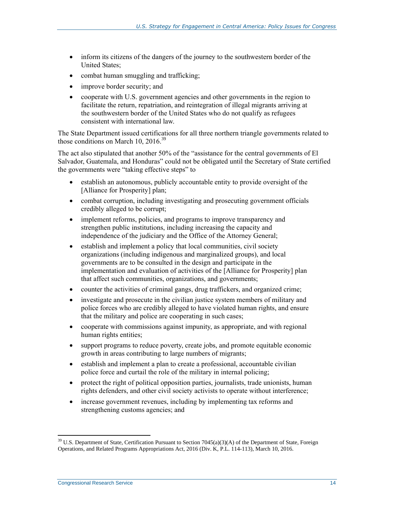- inform its citizens of the dangers of the journey to the southwestern border of the United States;
- combat human smuggling and trafficking;
- improve border security; and
- cooperate with U.S. government agencies and other governments in the region to facilitate the return, repatriation, and reintegration of illegal migrants arriving at the southwestern border of the United States who do not qualify as refugees consistent with international law.

The State Department issued certifications for all three northern triangle governments related to those conditions on March 10, 2016.<sup>39</sup>

The act also stipulated that another 50% of the "assistance for the central governments of El Salvador, Guatemala, and Honduras" could not be obligated until the Secretary of State certified the governments were "taking effective steps" to

- establish an autonomous, publicly accountable entity to provide oversight of the [Alliance for Prosperity] plan;
- combat corruption, including investigating and prosecuting government officials credibly alleged to be corrupt;
- implement reforms, policies, and programs to improve transparency and strengthen public institutions, including increasing the capacity and independence of the judiciary and the Office of the Attorney General;
- establish and implement a policy that local communities, civil society organizations (including indigenous and marginalized groups), and local governments are to be consulted in the design and participate in the implementation and evaluation of activities of the [Alliance for Prosperity] plan that affect such communities, organizations, and governments;
- counter the activities of criminal gangs, drug traffickers, and organized crime;
- investigate and prosecute in the civilian justice system members of military and police forces who are credibly alleged to have violated human rights, and ensure that the military and police are cooperating in such cases;
- cooperate with commissions against impunity, as appropriate, and with regional human rights entities;
- support programs to reduce poverty, create jobs, and promote equitable economic growth in areas contributing to large numbers of migrants;
- establish and implement a plan to create a professional, accountable civilian police force and curtail the role of the military in internal policing;
- protect the right of political opposition parties, journalists, trade unionists, human rights defenders, and other civil society activists to operate without interference;
- increase government revenues, including by implementing tax reforms and strengthening customs agencies; and

<sup>&</sup>lt;sup>39</sup> U.S. Department of State, Certification Pursuant to Section 7045(a)(3)(A) of the Department of State, Foreign Operations, and Related Programs Appropriations Act, 2016 (Div. K, P.L. 114-113), March 10, 2016.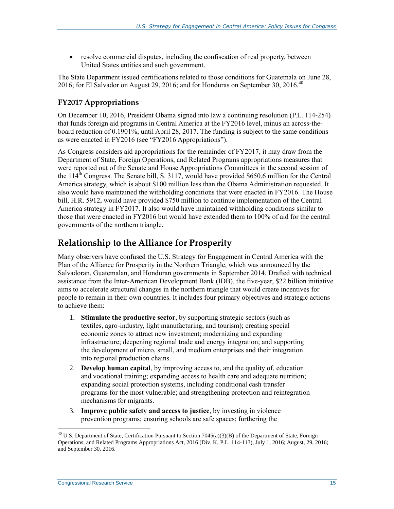resolve commercial disputes, including the confiscation of real property, between United States entities and such government.

The State Department issued certifications related to those conditions for Guatemala on June 28, 2016; for El Salvador on August 29, 2016; and for Honduras on September 30, 2016.<sup>40</sup>

#### <span id="page-18-0"></span>**FY2017 Appropriations**

On December 10, 2016, President Obama signed into law a continuing resolution [\(P.L. 114-254\)](http://www.congress.gov/cgi-lis/bdquery/R?d114:FLD002:@1(114+254)) that funds foreign aid programs in Central America at the FY2016 level, minus an across-theboard reduction of 0.1901%, until April 28, 2017. The funding is subject to the same conditions as were enacted in FY2016 (see ["FY2016 Appropriations"](#page-16-0)).

As Congress considers aid appropriations for the remainder of FY2017, it may draw from the Department of State, Foreign Operations, and Related Programs appropriations measures that were reported out of the Senate and House Appropriations Committees in the second session of the  $114<sup>th</sup>$  Congress. The Senate bill, S. 3117, would have provided \$650.6 million for the Central America strategy, which is about \$100 million less than the Obama Administration requested. It also would have maintained the withholding conditions that were enacted in FY2016. The House bill, [H.R. 5912,](http://www.congress.gov/cgi-lis/bdquery/z?d114:H.R.5912:) would have provided \$750 million to continue implementation of the Central America strategy in FY2017. It also would have maintained withholding conditions similar to those that were enacted in FY2016 but would have extended them to 100% of aid for the central governments of the northern triangle.

### **Relationship to the Alliance for Prosperity**

Many observers have confused the U.S. Strategy for Engagement in Central America with the Plan of the Alliance for Prosperity in the Northern Triangle, which was announced by the Salvadoran, Guatemalan, and Honduran governments in September 2014. Drafted with technical assistance from the Inter-American Development Bank (IDB), the five-year, \$22 billion initiative aims to accelerate structural changes in the northern triangle that would create incentives for people to remain in their own countries. It includes four primary objectives and strategic actions to achieve them:

- 1. **Stimulate the productive sector**, by supporting strategic sectors (such as textiles, agro-industry, light manufacturing, and tourism); creating special economic zones to attract new investment; modernizing and expanding infrastructure; deepening regional trade and energy integration; and supporting the development of micro, small, and medium enterprises and their integration into regional production chains.
- 2. **Develop human capital**, by improving access to, and the quality of, education and vocational training; expanding access to health care and adequate nutrition; expanding social protection systems, including conditional cash transfer programs for the most vulnerable; and strengthening protection and reintegration mechanisms for migrants.
- 3. **Improve public safety and access to justice**, by investing in violence prevention programs; ensuring schools are safe spaces; furthering the

 $\overline{a}$ <sup>40</sup> U.S. Department of State, Certification Pursuant to Section 7045(a)(3)(B) of the Department of State, Foreign Operations, and Related Programs Appropriations Act, 2016 (Div. K, P.L. 114-113), July 1, 2016; August, 29, 2016; and September 30, 2016.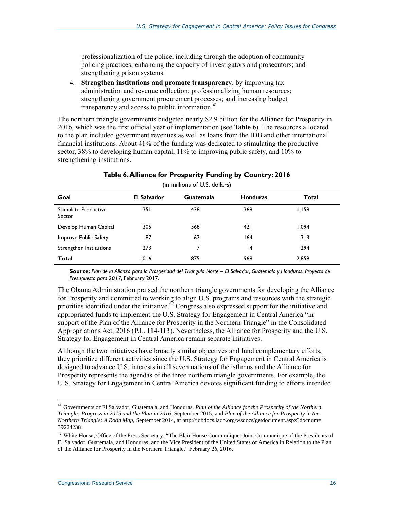professionalization of the police, including through the adoption of community policing practices; enhancing the capacity of investigators and prosecutors; and strengthening prison systems.

4. **Strengthen institutions and promote transparency**, by improving tax administration and revenue collection; professionalizing human resources; strengthening government procurement processes; and increasing budget transparency and access to public information. $41$ 

The northern triangle governments budgeted nearly \$2.9 billion for the Alliance for Prosperity in 2016, which was the first official year of implementation (see **[Table 6](#page-19-0)**). The resources allocated to the plan included government revenues as well as loans from the IDB and other international financial institutions. About 41% of the funding was dedicated to stimulating the productive sector, 38% to developing human capital, 11% to improving public safety, and 10% to strengthening institutions.

<span id="page-19-0"></span>

| <b>El Salvador</b> | Guatemala | <b>Honduras</b> | Total  |  |
|--------------------|-----------|-----------------|--------|--|
| 35 I               | 438       | 369             | I, I58 |  |
| 305                | 368       | 421             | 094.ا  |  |
| 87                 | 62        | 164             | 313    |  |
| 273                |           | 14              | 294    |  |
| 1,016              | 875       | 968             | 2,859  |  |
|                    |           |                 |        |  |

#### **Table 6. Alliance for Prosperity Funding by Country: 2016**

(in millions of U.S. dollars)

**Source:** *Plan de la Alianza para la Prosperidad del Triángulo Norte – El Salvador, Guatemala y Honduras: Proyecto de Presupuesto para 2017*, February 2017.

The Obama Administration praised the northern triangle governments for developing the Alliance for Prosperity and committed to working to align U.S. programs and resources with the strategic priorities identified under the initiative.<sup> $\frac{\pi}{2}$ </sup> Congress also expressed support for the initiative and appropriated funds to implement the U.S. Strategy for Engagement in Central America "in support of the Plan of the Alliance for Prosperity in the Northern Triangle" in the Consolidated Appropriations Act, 2016 (P.L. 114-113). Nevertheless, the Alliance for Prosperity and the U.S. Strategy for Engagement in Central America remain separate initiatives.

Although the two initiatives have broadly similar objectives and fund complementary efforts, they prioritize different activities since the U.S. Strategy for Engagement in Central America is designed to advance U.S. interests in all seven nations of the isthmus and the Alliance for Prosperity represents the agendas of the three northern triangle governments. For example, the U.S. Strategy for Engagement in Central America devotes significant funding to efforts intended

<sup>41</sup> Governments of El Salvador, Guatemala, and Honduras*, Plan of the Alliance for the Prosperity of the Northern Triangle: Progress in 2015 and the Plan in 2016*, September 2015; and *Plan of the Alliance for Prosperity in the Northern Triangle: A Road Map*, September 2014, at http://idbdocs.iadb.org/wsdocs/getdocument.aspx?docnum= 39224238.

<sup>&</sup>lt;sup>42</sup> White House, Office of the Press Secretary, "The Blair House Communique: Joint Communique of the Presidents of El Salvador, Guatemala, and Honduras, and the Vice President of the United States of America in Relation to the Plan of the Alliance for Prosperity in the Northern Triangle," February 26, 2016.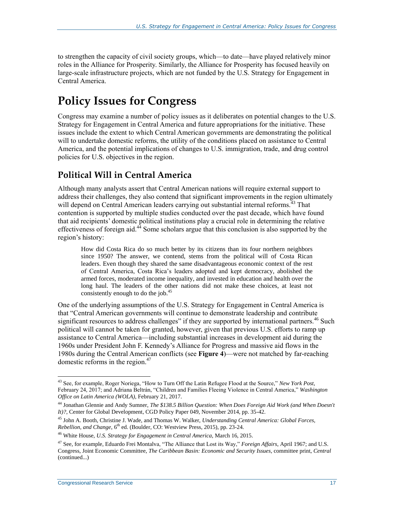to strengthen the capacity of civil society groups, which—to date—have played relatively minor roles in the Alliance for Prosperity. Similarly, the Alliance for Prosperity has focused heavily on large-scale infrastructure projects, which are not funded by the U.S. Strategy for Engagement in Central America.

## **Policy Issues for Congress**

Congress may examine a number of policy issues as it deliberates on potential changes to the U.S. Strategy for Engagement in Central America and future appropriations for the initiative. These issues include the extent to which Central American governments are demonstrating the political will to undertake domestic reforms, the utility of the conditions placed on assistance to Central America, and the potential implications of changes to U.S. immigration, trade, and drug control policies for U.S. objectives in the region.

### **Political Will in Central America**

Although many analysts assert that Central American nations will require external support to address their challenges, they also contend that significant improvements in the region ultimately will depend on Central American leaders carrying out substantial internal reforms.<sup>43</sup> That contention is supported by multiple studies conducted over the past decade, which have found that aid recipients' domestic political institutions play a crucial role in determining the relative effectiveness of foreign aid. $44$  Some scholars argue that this conclusion is also supported by the region's history:

How did Costa Rica do so much better by its citizens than its four northern neighbors since 1950? The answer, we contend, stems from the political will of Costa Rican leaders. Even though they shared the same disadvantageous economic context of the rest of Central America, Costa Rica's leaders adopted and kept democracy, abolished the armed forces, moderated income inequality, and invested in education and health over the long haul. The leaders of the other nations did not make these choices, at least not consistently enough to do the job.<sup>45</sup>

One of the underlying assumptions of the U.S. Strategy for Engagement in Central America is that "Central American governments will continue to demonstrate leadership and contribute significant resources to address challenges" if they are supported by international partners.<sup>46</sup> Such political will cannot be taken for granted, however, given that previous U.S. efforts to ramp up assistance to Central America—including substantial increases in development aid during the 1960s under President John F. Kennedy's Alliance for Progress and massive aid flows in the 1980s during the Central American conflicts (see **[Figure 4](#page-21-0)**)—were not matched by far-reaching domestic reforms in the region. 47

**Congressional Research Service 17** 17

<sup>43</sup> See, for example, Roger Noriega, "How to Turn Off the Latin Refugee Flood at the Source," *New York Post*, February 24, 2017; and Adriana Beltrán, "Children and Families Fleeing Violence in Central America," *Washington Office on Latin America (WOLA)*, February 21, 2017.

<sup>44</sup> Jonathan Glennie and Andy Sumner, *The \$138.5 Billion Question: When Does Foreign Aid Work (and When Doesn't It)?*, Center for Global Development, CGD Policy Paper 049, November 2014, pp. 35-42.

<sup>45</sup> John A. Booth, Christine J. Wade, and Thomas W. Walker, *Understanding Central America: Global Forces, Rebellion, and Change*, 6<sup>th</sup> ed. (Boulder, CO: Westview Press, 2015), pp. 23-24.

<sup>46</sup> White House, *U.S. Strategy for Engagement in Central America*, March 16, 2015.

<sup>47</sup> See, for example, Eduardo Frei Montalva, "The Alliance that Lost its Way," *Foreign Affairs*, April 1967; and U.S. Congress, Joint Economic Committee, *The Caribbean Basin: Economic and Security Issues*, committee print, *Central*  (continued...)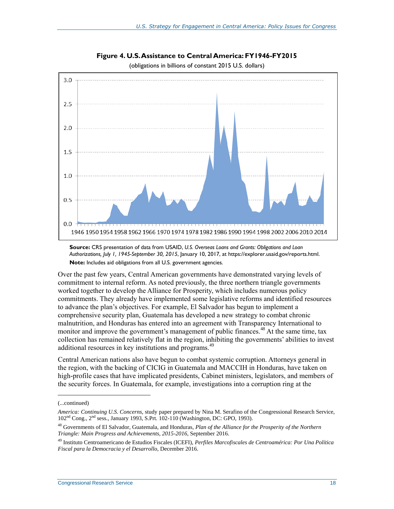<span id="page-21-0"></span>

**Figure 4. U.S. Assistance to Central America: FY1946-FY2015**

(obligations in billions of constant 2015 U.S. dollars)

Over the past few years, Central American governments have demonstrated varying levels of commitment to internal reform. As noted previously, the three northern triangle governments worked together to develop the Alliance for Prosperity, which includes numerous policy commitments. They already have implemented some legislative reforms and identified resources to advance the plan's objectives. For example, El Salvador has begun to implement a comprehensive security plan, Guatemala has developed a new strategy to combat chronic malnutrition, and Honduras has entered into an agreement with Transparency International to monitor and improve the government's management of public finances.<sup>48</sup> At the same time, tax collection has remained relatively flat in the region, inhibiting the governments' abilities to invest additional resources in key institutions and programs.<sup>49</sup>

Central American nations also have begun to combat systemic corruption. Attorneys general in the region, with the backing of CICIG in Guatemala and MACCIH in Honduras, have taken on high-profile cases that have implicated presidents, Cabinet ministers, legislators, and members of the security forces. In Guatemala, for example, investigations into a corruption ring at the

**Source:** CRS presentation of data from USAID, *U.S. Overseas Loans and Grants: Obligations and Loan Authorizations, July 1, 1945-September 30, 2015*, January 10, 2017, at [https://explorer.usaid.gov/reports.html.](https://explorer.usaid.gov/reports.html) **Note:** Includes aid obligations from all U.S. government agencies.

<sup>(...</sup>continued)

*America: Continuing U.S. Concerns*, study paper prepared by Nina M. Serafino of the Congressional Research Service, 102nd Cong., 2nd sess., January 1993, S.Prt. 102-110 (Washington, DC: GPO, 1993).

<sup>48</sup> Governments of El Salvador, Guatemala, and Honduras*, Plan of the Alliance for the Prosperity of the Northern Triangle: Main Progress and Achievements, 2015-2016*, September 2016.

<sup>49</sup> Instituto Centroamericano de Estudios Fiscales (ICEFI), *Perfiles Marcofiscales de Centroamérica: Por Una Política Fiscal para la Democracia y el Desarrollo*, December 2016.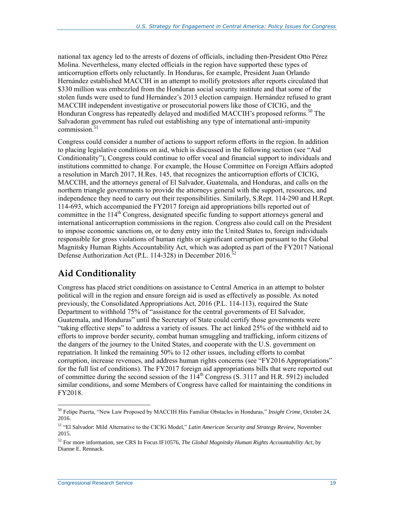national tax agency led to the arrests of dozens of officials, including then-President Otto Pérez Molina. Nevertheless, many elected officials in the region have supported these types of anticorruption efforts only reluctantly. In Honduras, for example, President Juan Orlando Hernández established MACCIH in an attempt to mollify protestors after reports circulated that \$330 million was embezzled from the Honduran social security institute and that some of the stolen funds were used to fund Hernández's 2013 election campaign. Hernández refused to grant MACCIH independent investigative or prosecutorial powers like those of CICIG, and the Honduran Congress has repeatedly delayed and modified MACCIH's proposed reforms.<sup>50</sup> The Salvadoran government has ruled out establishing any type of international anti-impunity commission. $51$ 

Congress could consider a number of actions to support reform efforts in the region. In addition to placing legislative conditions on aid, which is discussed in the following section (see ["Aid](#page-22-0)  [Conditionality"](#page-22-0)), Congress could continue to offer vocal and financial support to individuals and institutions committed to change. For example, the House Committee on Foreign Affairs adopted a resolution in March 2017, H.Res. 145, that recognizes the anticorruption efforts of CICIG, MACCIH, and the attorneys general of El Salvador, Guatemala, and Honduras, and calls on the northern triangle governments to provide the attorneys general with the support, resources, and independence they need to carry out their responsibilities. Similarly, [S.Rept. 114-290](http://www.congress.gov/cgi-lis/cpquery/R?cp114:FLD010:@1(sr290):) and H.Rept. 114-693, which accompanied the FY2017 foreign aid appropriations bills reported out of committee in the 114<sup>th</sup> Congress, designated specific funding to support attorneys general and international anticorruption commissions in the region. Congress also could call on the President to impose economic sanctions on, or to deny entry into the United States to, foreign individuals responsible for gross violations of human rights or significant corruption pursuant to the Global Magnitsky Human Rights Accountability Act, which was adopted as part of the FY2017 National Defense Authorization Act [\(P.L. 114-328\)](http://www.congress.gov/cgi-lis/bdquery/R?d114:FLD002:@1(114+328)) in December 2016.<sup>52</sup>

## <span id="page-22-0"></span>**Aid Conditionality**

Congress has placed strict conditions on assistance to Central America in an attempt to bolster political will in the region and ensure foreign aid is used as effectively as possible. As noted previously, the Consolidated Appropriations Act, 2016 (P.L. 114-113), required the State Department to withhold 75% of "assistance for the central governments of El Salvador, Guatemala, and Honduras" until the Secretary of State could certify those governments were "taking effective steps" to address a variety of issues. The act linked 25% of the withheld aid to efforts to improve border security, combat human smuggling and trafficking, inform citizens of the dangers of the journey to the United States, and cooperate with the U.S. government on repatriation. It linked the remaining 50% to 12 other issues, including efforts to combat corruption, increase revenues, and address human rights concerns (see ["FY2016 Appropriations"](#page-16-0) for the full list of conditions). The FY2017 foreign aid appropriations bills that were reported out of committee during the second session of the  $114<sup>th</sup>$  Congress [\(S. 3117](http://www.congress.gov/cgi-lis/bdquery/z?d114:S.3117:) and H.R. 5912) included similar conditions, and some Members of Congress have called for maintaining the conditions in FY2018.

<sup>50</sup> Felipe Puerta, "New Law Proposed by MACCIH Hits Familiar Obstacles in Honduras," *Insight Crime*, October 24, 2016.

<sup>51</sup> "El Salvador: Mild Alternative to the CICIG Model," *Latin American Security and Strategy Review*, November 2015.

<sup>52</sup> For more information, see CRS In Focus IF10576, *The Global Magnitsky Human Rights Accountability Act*, by Dianne E. Rennack.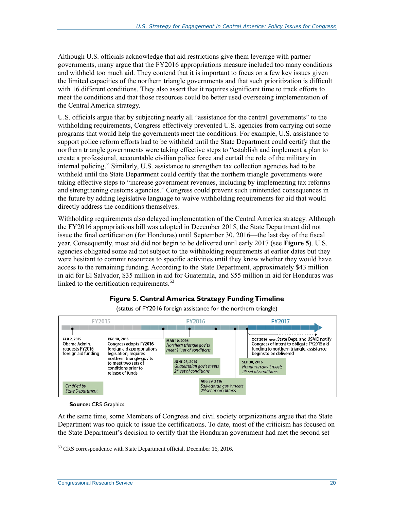Although U.S. officials acknowledge that aid restrictions give them leverage with partner governments, many argue that the FY2016 appropriations measure included too many conditions and withheld too much aid. They contend that it is important to focus on a few key issues given the limited capacities of the northern triangle governments and that such prioritization is difficult with 16 different conditions. They also assert that it requires significant time to track efforts to meet the conditions and that those resources could be better used overseeing implementation of the Central America strategy.

U.S. officials argue that by subjecting nearly all "assistance for the central governments" to the withholding requirements, Congress effectively prevented U.S. agencies from carrying out some programs that would help the governments meet the conditions. For example, U.S. assistance to support police reform efforts had to be withheld until the State Department could certify that the northern triangle governments were taking effective steps to "establish and implement a plan to create a professional, accountable civilian police force and curtail the role of the military in internal policing." Similarly, U.S. assistance to strengthen tax collection agencies had to be withheld until the State Department could certify that the northern triangle governments were taking effective steps to "increase government revenues, including by implementing tax reforms and strengthening customs agencies." Congress could prevent such unintended consequences in the future by adding legislative language to waive withholding requirements for aid that would directly address the conditions themselves.

Withholding requirements also delayed implementation of the Central America strategy. Although the FY2016 appropriations bill was adopted in December 2015, the State Department did not issue the final certification (for Honduras) until September 30, 2016—the last day of the fiscal year. Consequently, most aid did not begin to be delivered until early 2017 (see **[Figure 5](#page-23-0)**). U.S. agencies obligated some aid not subject to the withholding requirements at earlier dates but they were hesitant to commit resources to specific activities until they knew whether they would have access to the remaining funding. According to the State Department, approximately \$43 million in aid for El Salvador, \$35 million in aid for Guatemala, and \$55 million in aid for Honduras was linked to the certification requirements.<sup>53</sup>

#### **Figure 5. Central America Strategy Funding Timeline**

<span id="page-23-0"></span>

(status of FY2016 foreign assistance for the northern triangle)

**Source:** CRS Graphics.

Certified by State Department

At the same time, some Members of Congress and civil society organizations argue that the State Department was too quick to issue the certifications. To date, most of the criticism has focused on the State Department's decision to certify that the Honduran government had met the second set

Salvadoran gov't meets<br>2<sup>nd</sup> set of conditions

<sup>&</sup>lt;sup>53</sup> CRS correspondence with State Department official, December 16, 2016.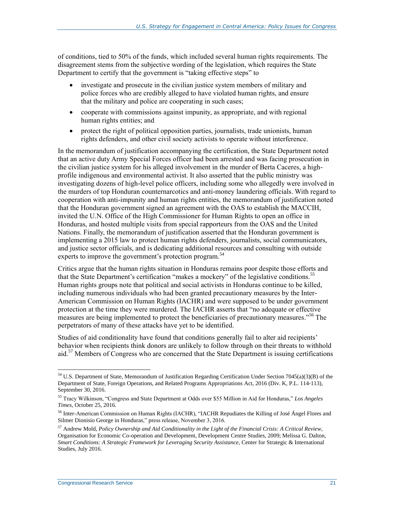of conditions, tied to 50% of the funds, which included several human rights requirements. The disagreement stems from the subjective wording of the legislation, which requires the State Department to certify that the government is "taking effective steps" to

- investigate and prosecute in the civilian justice system members of military and police forces who are credibly alleged to have violated human rights, and ensure that the military and police are cooperating in such cases;
- cooperate with commissions against impunity, as appropriate, and with regional human rights entities; and
- protect the right of political opposition parties, journalists, trade unionists, human rights defenders, and other civil society activists to operate without interference.

In the memorandum of justification accompanying the certification, the State Department noted that an active duty Army Special Forces officer had been arrested and was facing prosecution in the civilian justice system for his alleged involvement in the murder of Berta Caceres, a highprofile indigenous and environmental activist. It also asserted that the public ministry was investigating dozens of high-level police officers, including some who allegedly were involved in the murders of top Honduran counternarcotics and anti-money laundering officials. With regard to cooperation with anti-impunity and human rights entities, the memorandum of justification noted that the Honduran government signed an agreement with the OAS to establish the MACCIH, invited the U.N. Office of the High Commissioner for Human Rights to open an office in Honduras, and hosted multiple visits from special rapporteurs from the OAS and the United Nations. Finally, the memorandum of justification asserted that the Honduran government is implementing a 2015 law to protect human rights defenders, journalists, social communicators, and justice sector officials, and is dedicating additional resources and consulting with outside experts to improve the government's protection program.<sup>54</sup>

Critics argue that the human rights situation in Honduras remains poor despite those efforts and that the State Department's certification "makes a mockery" of the legislative conditions.<sup>55</sup> Human rights groups note that political and social activists in Honduras continue to be killed, including numerous individuals who had been granted precautionary measures by the Inter-American Commission on Human Rights (IACHR) and were supposed to be under government protection at the time they were murdered. The IACHR asserts that "no adequate or effective measures are being implemented to protect the beneficiaries of precautionary measures.<sup>556</sup> The perpetrators of many of these attacks have yet to be identified.

Studies of aid conditionality have found that conditions generally fail to alter aid recipients' behavior when recipients think donors are unlikely to follow through on their threats to withhold aid.<sup>57</sup> Members of Congress who are concerned that the State Department is issuing certifications

 $\overline{a}$  $54$  U.S. Department of State, Memorandum of Justification Regarding Certification Under Section 7045(a)(3)(B) of the Department of State, Foreign Operations, and Related Programs Appropriations Act, 2016 (Div. K, P.L. 114-113), September 30, 2016.

<sup>55</sup> Tracy Wilkinson, "Congress and State Department at Odds over \$55 Million in Aid for Honduras," *Los Angeles Times*, October 25, 2016.

<sup>56</sup> Inter-American Commission on Human Rights (IACHR), "IACHR Repudiates the Killing of José Ángel Flores and Silmer Dionisio George in Honduras," press release, November 3, 2016.

<sup>57</sup> Andrew Mold, *Policy Ownership and Aid Conditionality in the Light of the Financial Crisis: A Critical Review*, Organisation for Economic Co-operation and Development, Development Centre Studies, 2009; Melissa G. Dalton, *Smart Conditions: A Strategic Framework for Leveraging Security Assistance*, Center for Strategic & International Studies, July 2016.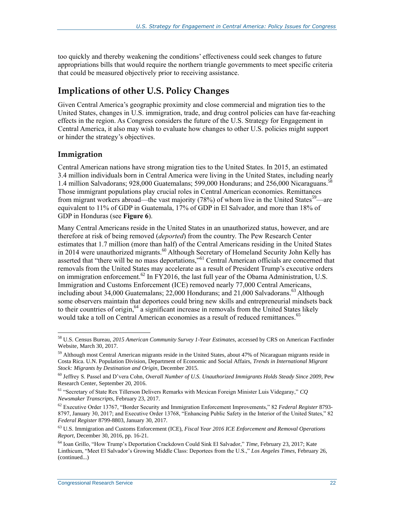too quickly and thereby weakening the conditions' effectiveness could seek changes to future appropriations bills that would require the northern triangle governments to meet specific criteria that could be measured objectively prior to receiving assistance.

### **Implications of other U.S. Policy Changes**

Given Central America's geographic proximity and close commercial and migration ties to the United States, changes in U.S. immigration, trade, and drug control policies can have far-reaching effects in the region. As Congress considers the future of the U.S. Strategy for Engagement in Central America, it also may wish to evaluate how changes to other U.S. policies might support or hinder the strategy's objectives.

#### **Immigration**

 $\overline{a}$ 

Central American nations have strong migration ties to the United States. In 2015, an estimated 3.4 million individuals born in Central America were living in the United States, including nearly 1.4 million Salvadorans; 928,000 Guatemalans; 599,000 Hondurans; and 256,000 Nicaraguans.<sup>58</sup> Those immigrant populations play crucial roles in Central American economies. Remittances from migrant workers abroad—the vast majority (78%) of whom live in the United States<sup>59</sup>—are equivalent to 11% of GDP in Guatemala, 17% of GDP in El Salvador, and more than 18% of GDP in Honduras (see **[Figure 6](#page-26-0)**).

Many Central Americans reside in the United States in an unauthorized status, however, and are therefore at risk of being removed (*deported*) from the country. The Pew Research Center estimates that 1.7 million (more than half) of the Central Americans residing in the United States in 2014 were unauthorized migrants.<sup>60</sup> Although Secretary of Homeland Security John Kelly has asserted that "there will be no mass deportations,"<sup>61</sup> Central American officials are concerned that removals from the United States may accelerate as a result of President Trump's executive orders on immigration enforcement.<sup>62</sup> In FY2016, the last full year of the Obama Administration, U.S. Immigration and Customs Enforcement (ICE) removed nearly 77,000 Central Americans, including about 34,000 Guatemalans; 22,000 Hondurans; and  $21,000$  Salvadorans.<sup>63</sup> Although some observers maintain that deportees could bring new skills and entrepreneurial mindsets back to their countries of origin,<sup>64</sup> a significant increase in removals from the United States likely would take a toll on Central American economies as a result of reduced remittances.<sup>65</sup>

<sup>58</sup> U.S. Census Bureau, *2015 American Community Survey 1-Year Estimates*, accessed by CRS on American Factfinder Website, March 30, 2017.

 $59$  Although most Central American migrants reside in the United States, about 47% of Nicaraguan migrants reside in Costa Rica. U.N. Population Division, Department of Economic and Social Affairs, *Trends in International Migrant Stock: Migrants by Destination and Origin*, December 2015.

<sup>60</sup> Jeffrey S. Passel and D'vera Cohn, *Overall Number of U.S. Unauthorized Immigrants Holds Steady Since 2009*, Pew Research Center, September 20, 2016.

<sup>61</sup> "Secretary of State Rex Tillerson Delivers Remarks with Mexican Foreign Minister Luis Videgaray," *CQ Newsmaker Transcripts*, February 23, 2017.

<sup>62</sup> Executive Order 13767, "Border Security and Immigration Enforcement Improvements," 82 *Federal Register* 8793- 8797, January 30, 2017; and Executive Order 13768, "Enhancing Public Safety in the Interior of the United States," 82 *Federal Register* 8799-8803, January 30, 2017.

<sup>63</sup> U.S. Immigration and Customs Enforcement (ICE), *Fiscal Year 2016 ICE Enforcement and Removal Operations Report*, December 30, 2016, pp. 16-21.

<sup>64</sup> Ioan Grillo, "How Trump's Deportation Crackdown Could Sink El Salvador," *Time*, February 23, 2017; Kate Linthicum, "Meet El Salvador's Growing Middle Class: Deportees from the U.S.," *Los Angeles Times*, February 26, (continued...)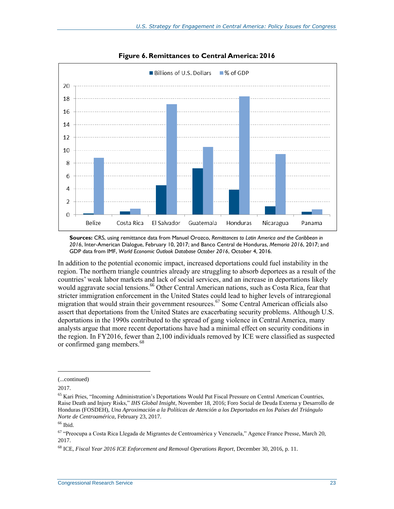<span id="page-26-0"></span>

#### **Figure 6. Remittances to Central America: 2016**

**Sources:** CRS, using remittance data from Manuel Orozco, *Remittances to Latin America and the Caribbean in 2016*, Inter-American Dialogue, February 10, 2017; and Banco Central de Honduras, *Memoria 2016*, 2017; and GDP data from IMF, *World Economic Outlook Database October 2016*, October 4, 2016.

In addition to the potential economic impact, increased deportations could fuel instability in the region. The northern triangle countries already are struggling to absorb deportees as a result of the countries' weak labor markets and lack of social services, and an increase in deportations likely would aggravate social tensions.<sup>66</sup> Other Central American nations, such as Costa Rica, fear that stricter immigration enforcement in the United States could lead to higher levels of intraregional migration that would strain their government resources. <sup>67</sup> Some Central American officials also assert that deportations from the United States are exacerbating security problems. Although U.S. deportations in the 1990s contributed to the spread of gang violence in Central America, many analysts argue that more recent deportations have had a minimal effect on security conditions in the region. In FY2016, fewer than 2,100 individuals removed by ICE were classified as suspected or confirmed gang members.<sup>68</sup>

<sup>(...</sup>continued)

<sup>2017.</sup>

<sup>&</sup>lt;sup>65</sup> Kari Pries, "Incoming Administration's Deportations Would Put Fiscal Pressure on Central American Countries, Raise Death and Injury Risks," *IHS Global Insight*, November 18, 2016; Foro Social de Deuda Externa y Desarrollo de Honduras (FOSDEH), *Una Aproximación a la Políticas de Atención a los Deportados en los Países del Triángulo Norte de Centroamérica*, February 23, 2017.

 $66$  Ibid.

<sup>67</sup> "Preocupa a Costa Rica Llegada de Migrantes de Centroamérica y Venezuela," Agence France Presse, March 20, 2017.

<sup>68</sup> ICE, *Fiscal Year 2016 ICE Enforcement and Removal Operations Report*, December 30, 2016, p. 11.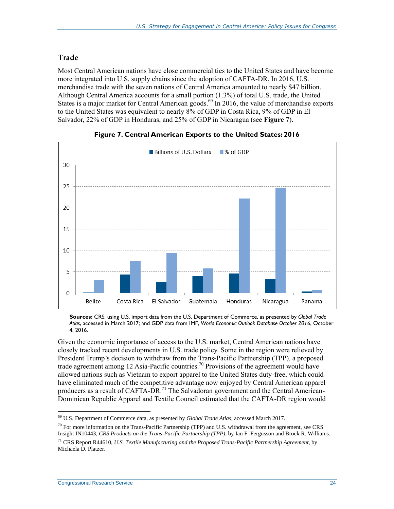#### **Trade**

Most Central American nations have close commercial ties to the United States and have become more integrated into U.S. supply chains since the adoption of CAFTA-DR. In 2016, U.S. merchandise trade with the seven nations of Central America amounted to nearly \$47 billion. Although Central America accounts for a small portion (1.3%) of total U.S. trade, the United States is a major market for Central American goods.<sup>69</sup> In 2016, the value of merchandise exports to the United States was equivalent to nearly 8% of GDP in Costa Rica, 9% of GDP in El Salvador, 22% of GDP in Honduras, and 25% of GDP in Nicaragua (see **[Figure 7](#page-27-0)**).

<span id="page-27-0"></span>

#### **Figure 7. Central American Exports to the United States: 2016**

**Sources:** CRS, using U.S. import data from the U.S. Department of Commerce, as presented by *Global Trade Atlas*, accessed in March 2017; and GDP data from IMF, *World Economic Outlook Database October 2016*, October 4, 2016.

Given the economic importance of access to the U.S. market, Central American nations have closely tracked recent developments in U.S. trade policy. Some in the region were relieved by President Trump's decision to withdraw from the Trans-Pacific Partnership (TPP), a proposed trade agreement among 12 Asia-Pacific countries.<sup>70</sup> Provisions of the agreement would have allowed nations such as Vietnam to export apparel to the United States duty-free, which could have eliminated much of the competitive advantage now enjoyed by Central American apparel producers as a result of CAFTA-DR.<sup>71</sup> The Salvadoran government and the Central American-Dominican Republic Apparel and Textile Council estimated that the CAFTA-DR region would

 $\overline{a}$ <sup>69</sup> U.S. Department of Commerce data, as presented by *Global Trade Atlas*, accessed March 2017.

 $^{70}$  For more information on the Trans-Pacific Partnership (TPP) and U.S. withdrawal from the agreement, see CRS Insight IN10443, *CRS Products on the Trans-Pacific Partnership (TPP)*, by Ian F. Fergusson and Brock R. Williams.

<sup>71</sup> CRS Report R44610, *U.S. Textile Manufacturing and the Proposed Trans-Pacific Partnership Agreement*, by Michaela D. Platzer.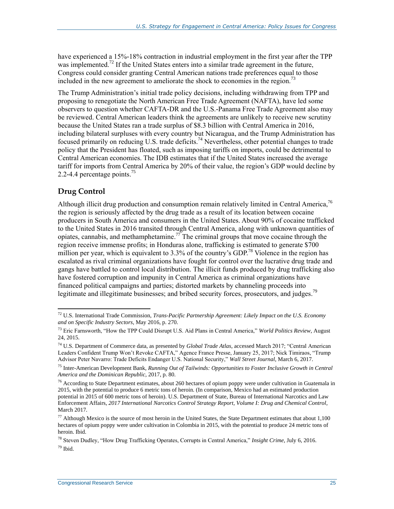have experienced a 15%-18% contraction in industrial employment in the first year after the TPP was implemented.<sup>72</sup> If the United States enters into a similar trade agreement in the future, Congress could consider granting Central American nations trade preferences equal to those included in the new agreement to ameliorate the shock to economies in the region.<sup>73</sup>

The Trump Administration's initial trade policy decisions, including withdrawing from TPP and proposing to renegotiate the North American Free Trade Agreement (NAFTA), have led some observers to question whether CAFTA-DR and the U.S.-Panama Free Trade Agreement also may be reviewed. Central American leaders think the agreements are unlikely to receive new scrutiny because the United States ran a trade surplus of \$8.3 billion with Central America in 2016, including bilateral surpluses with every country but Nicaragua, and the Trump Administration has focused primarily on reducing U.S. trade deficits.<sup>74</sup> Nevertheless, other potential changes to trade policy that the President has floated, such as imposing tariffs on imports, could be detrimental to Central American economies. The IDB estimates that if the United States increased the average tariff for imports from Central America by 20% of their value, the region's GDP would decline by 2.2-4.4 percentage points.<sup>75</sup>

#### **Drug Control**

 $\overline{a}$ 

Although illicit drug production and consumption remain relatively limited in Central America,<sup>76</sup> the region is seriously affected by the drug trade as a result of its location between cocaine producers in South America and consumers in the United States. About 90% of cocaine trafficked to the United States in 2016 transited through Central America, along with unknown quantities of opiates, cannabis, and methamphetamine.<sup>77</sup> The criminal groups that move cocaine through the region receive immense profits; in Honduras alone, trafficking is estimated to generate \$700 million per year, which is equivalent to 3.3% of the country's GDP.<sup>78</sup> Violence in the region has escalated as rival criminal organizations have fought for control over the lucrative drug trade and gangs have battled to control local distribution. The illicit funds produced by drug trafficking also have fostered corruption and impunity in Central America as criminal organizations have financed political campaigns and parties; distorted markets by channeling proceeds into legitimate and illegitimate businesses; and bribed security forces, prosecutors, and judges.<sup>79</sup>

<sup>72</sup> U.S. International Trade Commission, *Trans-Pacific Partnership Agreement: Likely Impact on the U.S. Economy and on Specific Industry Sectors*, May 2016, p. 270.

<sup>73</sup> Eric Farnsworth, "How the TPP Could Disrupt U.S. Aid Plans in Central America," *World Politics Review*, August 24, 2015.

<sup>74</sup> U.S. Department of Commerce data, as presented by *Global Trade Atlas*, accessed March 2017; "Central American Leaders Confident Trump Won't Revoke CAFTA," Agence France Presse, January 25, 2017; Nick Timiraos, "Trump Advisor Peter Navarro: Trade Deficits Endanger U.S. National Security," *Wall Street Journal*, March 6, 2017.

<sup>75</sup> Inter-American Development Bank, *Running Out of Tailwinds: Opportunities to Foster Inclusive Growth in Central America and the Dominican Republic*, 2017, p. 80.

 $76$  According to State Department estimates, about 260 hectares of opium poppy were under cultivation in Guatemala in 2015, with the potential to produce 6 metric tons of heroin. (In comparison, Mexico had an estimated production potential in 2015 of 600 metric tons of heroin). U.S. Department of State, Bureau of International Narcotics and Law Enforcement Affairs, *2017 International Narcotics Control Strategy Report, Volume I: Drug and Chemical Control*, March 2017.

 $77$  Although Mexico is the source of most heroin in the United States, the State Department estimates that about 1,100 hectares of opium poppy were under cultivation in Colombia in 2015, with the potential to produce 24 metric tons of heroin. Ibid.

<sup>78</sup> Steven Dudley, "How Drug Trafficking Operates, Corrupts in Central America," *Insight Crime*, July 6, 2016.  $79$  Ibid.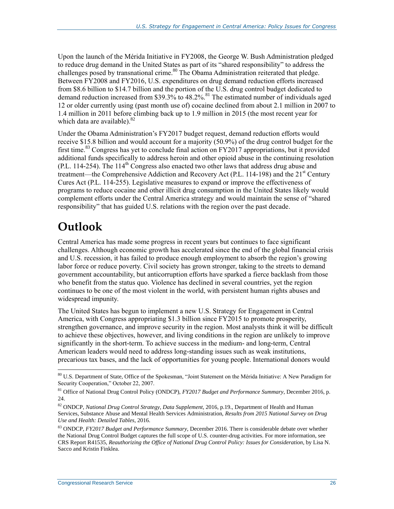Upon the launch of the Mérida Initiative in FY2008, the George W. Bush Administration pledged to reduce drug demand in the United States as part of its "shared responsibility" to address the challenges posed by transnational crime.<sup>80</sup> The Obama Administration reiterated that pledge. Between FY2008 and FY2016, U.S. expenditures on drug demand reduction efforts increased from \$8.6 billion to \$14.7 billion and the portion of the U.S. drug control budget dedicated to demand reduction increased from \$39.3% to 48.2%.<sup>81</sup> The estimated number of individuals aged 12 or older currently using (past month use of) cocaine declined from about 2.1 million in 2007 to 1.4 million in 2011 before climbing back up to 1.9 million in 2015 (the most recent year for which data are available).<sup>82</sup>

Under the Obama Administration's FY2017 budget request, demand reduction efforts would receive \$15.8 billion and would account for a majority (50.9%) of the drug control budget for the first time.<sup>83</sup> Congress has yet to conclude final action on  $FY2017$  appropriations, but it provided additional funds specifically to address heroin and other opioid abuse in the continuing resolution [\(P.L. 114-254\)](http://www.congress.gov/cgi-lis/bdquery/R?d114:FLD002:@1(114+254)). The 114<sup>th</sup> Congress also enacted two other laws that address drug abuse and treatment—the Comprehensive Addiction and Recovery Act (P.L. 114-198) and the 21<sup>st</sup> Century Cures Act [\(P.L. 114-255\)](http://www.congress.gov/cgi-lis/bdquery/R?d114:FLD002:@1(114+255)). Legislative measures to expand or improve the effectiveness of programs to reduce cocaine and other illicit drug consumption in the United States likely would complement efforts under the Central America strategy and would maintain the sense of "shared responsibility" that has guided U.S. relations with the region over the past decade.

## **Outlook**

Central America has made some progress in recent years but continues to face significant challenges. Although economic growth has accelerated since the end of the global financial crisis and U.S. recession, it has failed to produce enough employment to absorb the region's growing labor force or reduce poverty. Civil society has grown stronger, taking to the streets to demand government accountability, but anticorruption efforts have sparked a fierce backlash from those who benefit from the status quo. Violence has declined in several countries, yet the region continues to be one of the most violent in the world, with persistent human rights abuses and widespread impunity.

The United States has begun to implement a new U.S. Strategy for Engagement in Central America, with Congress appropriating \$1.3 billion since FY2015 to promote prosperity, strengthen governance, and improve security in the region. Most analysts think it will be difficult to achieve these objectives, however, and living conditions in the region are unlikely to improve significantly in the short-term. To achieve success in the medium- and long-term, Central American leaders would need to address long-standing issues such as weak institutions, precarious tax bases, and the lack of opportunities for young people. International donors would

 $\overline{a}$ <sup>80</sup> U.S. Department of State, Office of the Spokesman, "Joint Statement on the Mérida Initiative: A New Paradigm for Security Cooperation," October 22, 2007.

<sup>81</sup> Office of National Drug Control Policy (ONDCP), *FY2017 Budget and Performance Summary*, December 2016, p. 24.

<sup>82</sup> ONDCP, *National Drug Control Strategy, Data Supplement*, 2016, p.19., Department of Health and Human Services, Substance Abuse and Mental Health Services Administration, *Results from 2015 National Survey on Drug Use and Health: Detailed Tables*, 2016.

<sup>83</sup> ONDCP, *FY2017 Budget and Performance Summary*, December 2016. There is considerable debate over whether the National Drug Control Budget captures the full scope of U.S. counter-drug activities. For more information, see CRS Report R41535, *Reauthorizing the Office of National Drug Control Policy: Issues for Consideration*, by Lisa N. Sacco and Kristin Finklea.